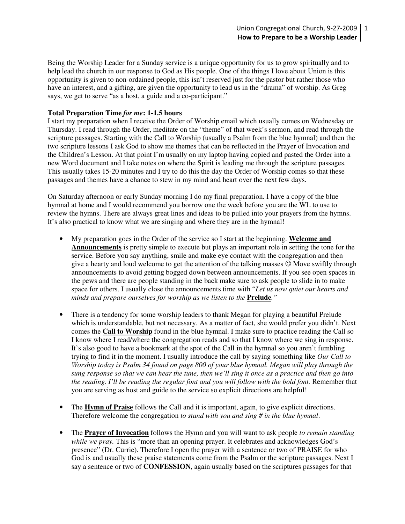Being the Worship Leader for a Sunday service is a unique opportunity for us to grow spiritually and to help lead the church in our response to God as His people. One of the things I love about Union is this opportunity is given to non-ordained people, this isn't reserved just for the pastor but rather those who have an interest, and a gifting, are given the opportunity to lead us in the "drama" of worship. As Greg says, we get to serve "as a host, a guide and a co-participant."

## **Total Preparation Time** *for me***: 1-1.5 hours**

I start my preparation when I receive the Order of Worship email which usually comes on Wednesday or Thursday. I read through the Order, meditate on the "theme" of that week's sermon, and read through the scripture passages. Starting with the Call to Worship (usually a Psalm from the blue hymnal) and then the two scripture lessons I ask God to show me themes that can be reflected in the Prayer of Invocation and the Children's Lesson. At that point I'm usually on my laptop having copied and pasted the Order into a new Word document and I take notes on where the Spirit is leading me through the scripture passages. This usually takes 15-20 minutes and I try to do this the day the Order of Worship comes so that these passages and themes have a chance to stew in my mind and heart over the next few days.

On Saturday afternoon or early Sunday morning I do my final preparation. I have a copy of the blue hymnal at home and I would recommend you borrow one the week before you are the WL to use to review the hymns. There are always great lines and ideas to be pulled into your prayers from the hymns. It's also practical to know what we are singing and where they are in the hymnal!

- My preparation goes in the Order of the service so I start at the beginning. **Welcome and Announcements** is pretty simple to execute but plays an important role in setting the tone for the service. Before you say anything, smile and make eye contact with the congregation and then give a hearty and loud welcome to get the attention of the talking masses ☺ Move swiftly through announcements to avoid getting bogged down between announcements. If you see open spaces in the pews and there are people standing in the back make sure to ask people to slide in to make space for others. I usually close the announcements time with "*Let us now quiet our hearts and minds and prepare ourselves for worship as we listen to the* **Prelude***."*
- There is a tendency for some worship leaders to thank Megan for playing a beautiful Prelude which is understandable, but not necessary. As a matter of fact, she would prefer you didn't. Next comes the **Call to Worship** found in the blue hymnal. I make sure to practice reading the Call so I know where I read/where the congregation reads and so that I know where we sing in response. It's also good to have a bookmark at the spot of the Call in the hymnal so you aren't fumbling trying to find it in the moment. I usually introduce the call by saying something like *Our Call to Worship today is Psalm 34 found on page 800 of your blue hymnal. Megan will play through the sung response so that we can hear the tune, then we'll sing it once as a practice and then go into the reading. I'll be reading the regular font and you will follow with the bold font.* Remember that you are serving as host and guide to the service so explicit directions are helpful!
- The **Hymn of Praise** follows the Call and it is important, again, to give explicit directions. Therefore welcome the congregation *to stand with you and sing # in the blue hymnal*.
- The **Prayer of Invocation** follows the Hymn and you will want to ask people *to remain standing while we pray.* This is "more than an opening prayer. It celebrates and acknowledges God's presence" (Dr. Currie). Therefore I open the prayer with a sentence or two of PRAISE for who God is and usually these praise statements come from the Psalm or the scripture passages. Next I say a sentence or two of **CONFESSION**, again usually based on the scriptures passages for that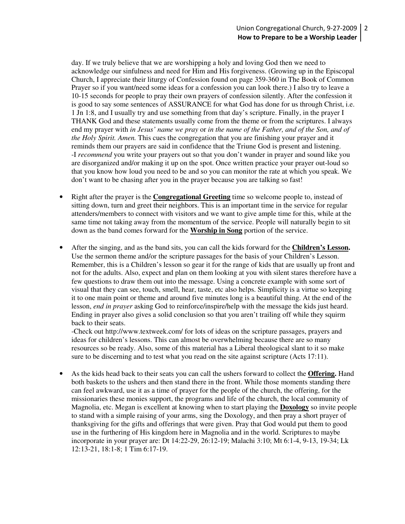day. If we truly believe that we are worshipping a holy and loving God then we need to acknowledge our sinfulness and need for Him and His forgiveness. (Growing up in the Episcopal Church, I appreciate their liturgy of Confession found on page 359-360 in The Book of Common Prayer so if you want/need some ideas for a confession you can look there.) I also try to leave a 10-15 seconds for people to pray their own prayers of confession silently. After the confession it is good to say some sentences of ASSURANCE for what God has done for us through Christ, i.e. 1 Jn 1:8, and I usually try and use something from that day's scripture. Finally, in the prayer I THANK God and these statements usually come from the theme or from the scriptures. I always end my prayer with *in Jesus' name we pray* or *in the name of the Father, and of the Son, and of the Holy Spirit. Amen.* This cues the congregation that you are finishing your prayer and it reminds them our prayers are said in confidence that the Triune God is present and listening. -I *recommend* you write your prayers out so that you don't wander in prayer and sound like you are disorganized and/or making it up on the spot. Once written practice your prayer out-loud so that you know how loud you need to be and so you can monitor the rate at which you speak. We don't want to be chasing after you in the prayer because you are talking so fast!

- Right after the prayer is the **Congregational Greeting** time so welcome people to, instead of sitting down, turn and greet their neighbors. This is an important time in the service for regular attenders/members to connect with visitors and we want to give ample time for this, while at the same time not taking away from the momentum of the service. People will naturally begin to sit down as the band comes forward for the **Worship in Song** portion of the service.
- After the singing, and as the band sits, you can call the kids forward for the **Children's Lesson.** Use the sermon theme and/or the scripture passages for the basis of your Children's Lesson. Remember, this is a Children's lesson so gear it for the range of kids that are usually up front and not for the adults. Also, expect and plan on them looking at you with silent stares therefore have a few questions to draw them out into the message. Using a concrete example with some sort of visual that they can see, touch, smell, hear, taste, etc also helps. Simplicity is a virtue so keeping it to one main point or theme and around five minutes long is a beautiful thing. At the end of the lesson, *end in prayer* asking God to reinforce/inspire/help with the message the kids just heard. Ending in prayer also gives a solid conclusion so that you aren't trailing off while they squirm back to their seats.

-Check out http://www.textweek.com/ for lots of ideas on the scripture passages, prayers and ideas for children's lessons. This can almost be overwhelming because there are so many resources so be ready. Also, some of this material has a Liberal theological slant to it so make sure to be discerning and to test what you read on the site against scripture (Acts 17:11).

• As the kids head back to their seats you can call the ushers forward to collect the **Offering.** Hand both baskets to the ushers and then stand there in the front. While those moments standing there can feel awkward, use it as a time of prayer for the people of the church, the offering, for the missionaries these monies support, the programs and life of the church, the local community of Magnolia, etc. Megan is excellent at knowing when to start playing the **Doxology** so invite people to stand with a simple raising of your arms, sing the Doxology, and then pray a short prayer of thanksgiving for the gifts and offerings that were given. Pray that God would put them to good use in the furthering of His kingdom here in Magnolia and in the world. Scriptures to maybe incorporate in your prayer are: Dt 14:22-29, 26:12-19; Malachi 3:10; Mt 6:1-4, 9-13, 19-34; Lk 12:13-21, 18:1-8; 1 Tim 6:17-19.